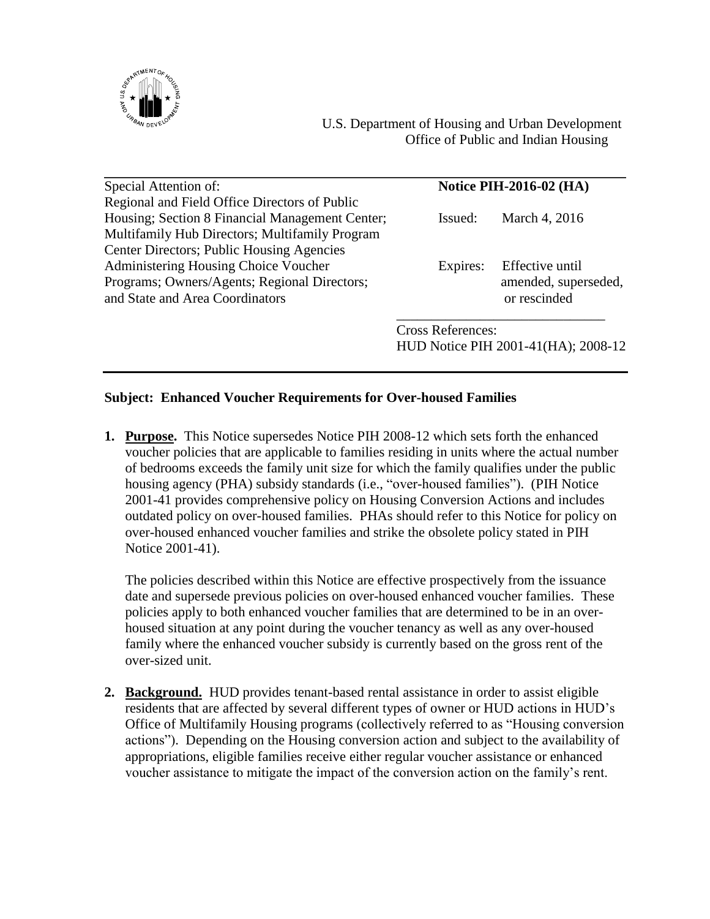

| Special Attention of:                           | <b>Notice PIH-2016-02 (HA)</b> |                                     |
|-------------------------------------------------|--------------------------------|-------------------------------------|
| Regional and Field Office Directors of Public   |                                |                                     |
| Housing; Section 8 Financial Management Center; | Issued:                        | March 4, 2016                       |
| Multifamily Hub Directors; Multifamily Program  |                                |                                     |
| Center Directors; Public Housing Agencies       |                                |                                     |
| <b>Administering Housing Choice Voucher</b>     | Expires:                       | Effective until                     |
| Programs; Owners/Agents; Regional Directors;    |                                | amended, superseded,                |
| and State and Area Coordinators                 |                                | or rescinded                        |
|                                                 | <b>Cross References:</b>       |                                     |
|                                                 |                                | HUD Notice PIH 2001-41(HA); 2008-12 |

## **Subject: Enhanced Voucher Requirements for Over-housed Families**

**1. Purpose.** This Notice supersedes Notice PIH 2008-12 which sets forth the enhanced voucher policies that are applicable to families residing in units where the actual number of bedrooms exceeds the family unit size for which the family qualifies under the public housing agency (PHA) subsidy standards (i.e., "over-housed families"). (PIH Notice 2001-41 provides comprehensive policy on Housing Conversion Actions and includes outdated policy on over-housed families. PHAs should refer to this Notice for policy on over-housed enhanced voucher families and strike the obsolete policy stated in PIH Notice 2001-41).

The policies described within this Notice are effective prospectively from the issuance date and supersede previous policies on over-housed enhanced voucher families. These policies apply to both enhanced voucher families that are determined to be in an overhoused situation at any point during the voucher tenancy as well as any over-housed family where the enhanced voucher subsidy is currently based on the gross rent of the over-sized unit.

**2. Background.** HUD provides tenant-based rental assistance in order to assist eligible residents that are affected by several different types of owner or HUD actions in HUD's Office of Multifamily Housing programs (collectively referred to as "Housing conversion actions").Depending on the Housing conversion action and subject to the availability of appropriations, eligible families receive either regular voucher assistance or enhanced voucher assistance to mitigate the impact of the conversion action on the family's rent.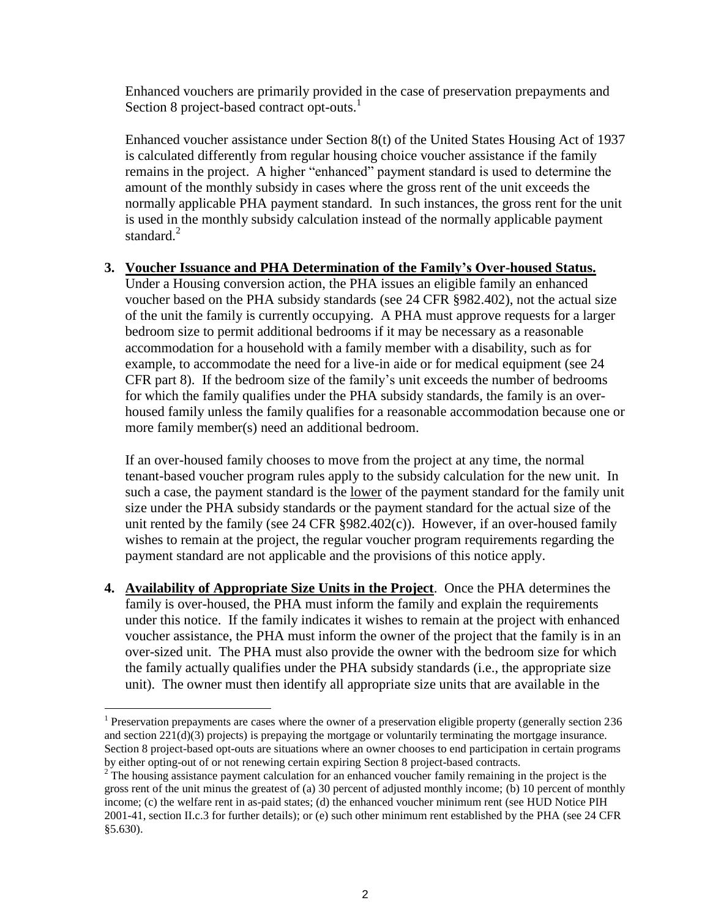Enhanced vouchers are primarily provided in the case of preservation prepayments and Section 8 project-based contract opt-outs.<sup>1</sup>

Enhanced voucher assistance under Section 8(t) of the United States Housing Act of 1937 is calculated differently from regular housing choice voucher assistance if the family remains in the project. A higher "enhanced" payment standard is used to determine the amount of the monthly subsidy in cases where the gross rent of the unit exceeds the normally applicable PHA payment standard. In such instances, the gross rent for the unit is used in the monthly subsidy calculation instead of the normally applicable payment standard.<sup>2</sup>

## **3. Voucher Issuance and PHA Determination of the Family's Over-housed Status.**

Under a Housing conversion action, the PHA issues an eligible family an enhanced voucher based on the PHA subsidy standards (see 24 CFR §982.402), not the actual size of the unit the family is currently occupying. A PHA must approve requests for a larger bedroom size to permit additional bedrooms if it may be necessary as a reasonable accommodation for a household with a family member with a disability, such as for example, to accommodate the need for a live-in aide or for medical equipment (see 24 CFR part 8). If the bedroom size of the family's unit exceeds the number of bedrooms for which the family qualifies under the PHA subsidy standards, the family is an overhoused family unless the family qualifies for a reasonable accommodation because one or more family member(s) need an additional bedroom.

If an over-housed family chooses to move from the project at any time, the normal tenant-based voucher program rules apply to the subsidy calculation for the new unit. In such a case, the payment standard is the lower of the payment standard for the family unit size under the PHA subsidy standards or the payment standard for the actual size of the unit rented by the family (see 24 CFR  $\S 982.402(c)$ ). However, if an over-housed family wishes to remain at the project, the regular voucher program requirements regarding the payment standard are not applicable and the provisions of this notice apply.

**4. Availability of Appropriate Size Units in the Project**. Once the PHA determines the family is over-housed, the PHA must inform the family and explain the requirements under this notice. If the family indicates it wishes to remain at the project with enhanced voucher assistance, the PHA must inform the owner of the project that the family is in an over-sized unit. The PHA must also provide the owner with the bedroom size for which the family actually qualifies under the PHA subsidy standards (i.e., the appropriate size unit). The owner must then identify all appropriate size units that are available in the

 $\overline{a}$ 

<sup>&</sup>lt;sup>1</sup> Preservation prepayments are cases where the owner of a preservation eligible property (generally section  $236$ and section 221(d)(3) projects) is prepaying the mortgage or voluntarily terminating the mortgage insurance. Section 8 project-based opt-outs are situations where an owner chooses to end participation in certain programs by either opting-out of or not renewing certain expiring Section 8 project-based contracts.

<sup>&</sup>lt;sup>2</sup> The housing assistance payment calculation for an enhanced voucher family remaining in the project is the gross rent of the unit minus the greatest of (a) 30 percent of adjusted monthly income; (b) 10 percent of monthly income; (c) the welfare rent in as-paid states; (d) the enhanced voucher minimum rent (see HUD Notice PIH 2001-41, section II.c.3 for further details); or (e) such other minimum rent established by the PHA (see 24 CFR §5.630).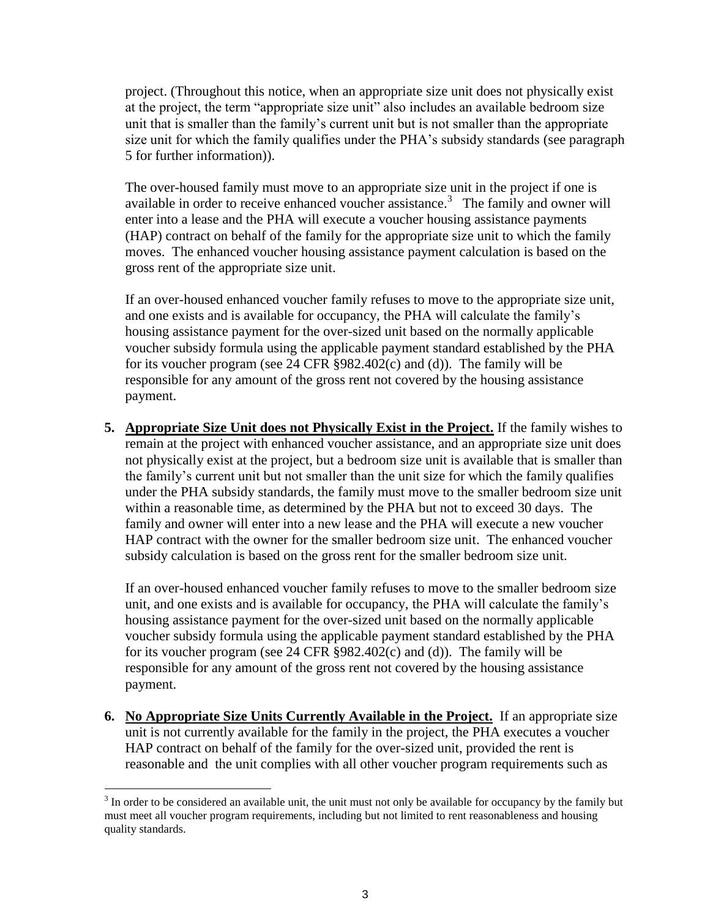project. (Throughout this notice, when an appropriate size unit does not physically exist at the project, the term "appropriate size unit" also includes an available bedroom size unit that is smaller than the family's current unit but is not smaller than the appropriate size unit for which the family qualifies under the PHA's subsidy standards (see paragraph 5 for further information)).

The over-housed family must move to an appropriate size unit in the project if one is available in order to receive enhanced voucher assistance. 3 The family and owner will enter into a lease and the PHA will execute a voucher housing assistance payments (HAP) contract on behalf of the family for the appropriate size unit to which the family moves. The enhanced voucher housing assistance payment calculation is based on the gross rent of the appropriate size unit.

If an over-housed enhanced voucher family refuses to move to the appropriate size unit, and one exists and is available for occupancy, the PHA will calculate the family's housing assistance payment for the over-sized unit based on the normally applicable voucher subsidy formula using the applicable payment standard established by the PHA for its voucher program (see 24 CFR §982.402(c) and (d)). The family will be responsible for any amount of the gross rent not covered by the housing assistance payment.

**5. Appropriate Size Unit does not Physically Exist in the Project.** If the family wishes to remain at the project with enhanced voucher assistance, and an appropriate size unit does not physically exist at the project, but a bedroom size unit is available that is smaller than the family's current unit but not smaller than the unit size for which the family qualifies under the PHA subsidy standards, the family must move to the smaller bedroom size unit within a reasonable time, as determined by the PHA but not to exceed 30 days. The family and owner will enter into a new lease and the PHA will execute a new voucher HAP contract with the owner for the smaller bedroom size unit. The enhanced voucher subsidy calculation is based on the gross rent for the smaller bedroom size unit.

If an over-housed enhanced voucher family refuses to move to the smaller bedroom size unit, and one exists and is available for occupancy, the PHA will calculate the family's housing assistance payment for the over-sized unit based on the normally applicable voucher subsidy formula using the applicable payment standard established by the PHA for its voucher program (see 24 CFR §982.402(c) and (d)). The family will be responsible for any amount of the gross rent not covered by the housing assistance payment.

**6. No Appropriate Size Units Currently Available in the Project.** If an appropriate size unit is not currently available for the family in the project, the PHA executes a voucher HAP contract on behalf of the family for the over-sized unit, provided the rent is reasonable and the unit complies with all other voucher program requirements such as

 $\overline{a}$ 

 $3$  In order to be considered an available unit, the unit must not only be available for occupancy by the family but must meet all voucher program requirements, including but not limited to rent reasonableness and housing quality standards.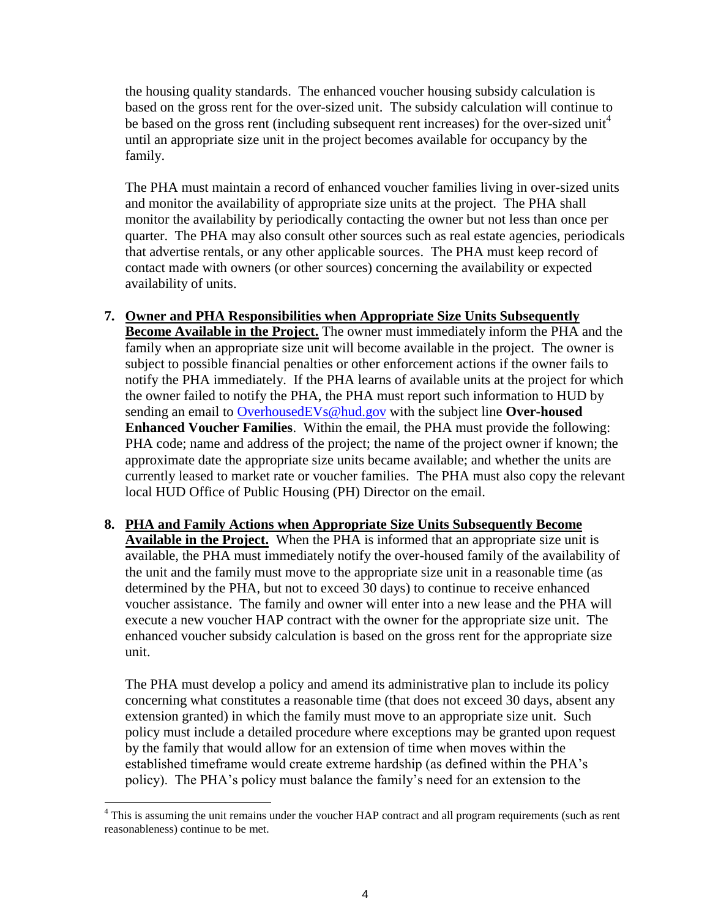the housing quality standards. The enhanced voucher housing subsidy calculation is based on the gross rent for the over-sized unit. The subsidy calculation will continue to be based on the gross rent (including subsequent rent increases) for the over-sized unit<sup>4</sup> until an appropriate size unit in the project becomes available for occupancy by the family.

The PHA must maintain a record of enhanced voucher families living in over-sized units and monitor the availability of appropriate size units at the project. The PHA shall monitor the availability by periodically contacting the owner but not less than once per quarter. The PHA may also consult other sources such as real estate agencies, periodicals that advertise rentals, or any other applicable sources. The PHA must keep record of contact made with owners (or other sources) concerning the availability or expected availability of units.

- **7. Owner and PHA Responsibilities when Appropriate Size Units Subsequently Become Available in the Project.** The owner must immediately inform the PHA and the family when an appropriate size unit will become available in the project. The owner is subject to possible financial penalties or other enforcement actions if the owner fails to notify the PHA immediately. If the PHA learns of available units at the project for which the owner failed to notify the PHA, the PHA must report such information to HUD by sending an email to [OverhousedEVs@hud.gov](mailto:OverhousedEVs@hud.gov) with the subject line **Over-housed Enhanced Voucher Families**. Within the email, the PHA must provide the following: PHA code; name and address of the project; the name of the project owner if known; the approximate date the appropriate size units became available; and whether the units are currently leased to market rate or voucher families. The PHA must also copy the relevant local HUD Office of Public Housing (PH) Director on the email.
- **8. PHA and Family Actions when Appropriate Size Units Subsequently Become Available in the Project.** When the PHA is informed that an appropriate size unit is available, the PHA must immediately notify the over-housed family of the availability of the unit and the family must move to the appropriate size unit in a reasonable time (as determined by the PHA, but not to exceed 30 days) to continue to receive enhanced voucher assistance. The family and owner will enter into a new lease and the PHA will execute a new voucher HAP contract with the owner for the appropriate size unit. The enhanced voucher subsidy calculation is based on the gross rent for the appropriate size unit.

The PHA must develop a policy and amend its administrative plan to include its policy concerning what constitutes a reasonable time (that does not exceed 30 days, absent any extension granted) in which the family must move to an appropriate size unit. Such policy must include a detailed procedure where exceptions may be granted upon request by the family that would allow for an extension of time when moves within the established timeframe would create extreme hardship (as defined within the PHA's policy). The PHA's policy must balance the family's need for an extension to the

 $\overline{a}$ 

<sup>&</sup>lt;sup>4</sup> This is assuming the unit remains under the voucher HAP contract and all program requirements (such as rent reasonableness) continue to be met.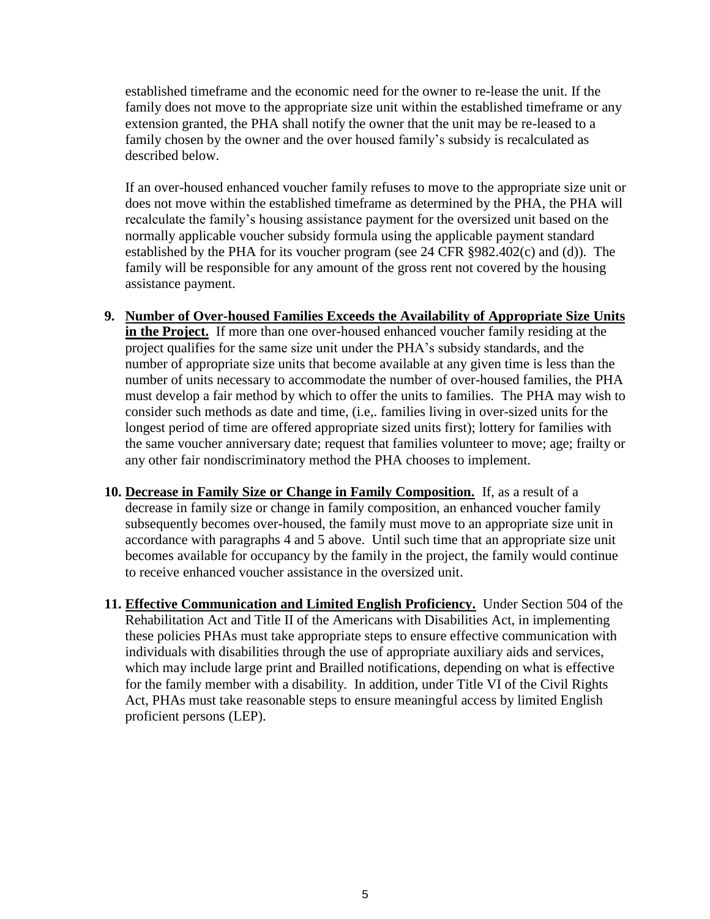established timeframe and the economic need for the owner to re-lease the unit. If the family does not move to the appropriate size unit within the established timeframe or any extension granted, the PHA shall notify the owner that the unit may be re-leased to a family chosen by the owner and the over housed family's subsidy is recalculated as described below.

If an over-housed enhanced voucher family refuses to move to the appropriate size unit or does not move within the established timeframe as determined by the PHA, the PHA will recalculate the family's housing assistance payment for the oversized unit based on the normally applicable voucher subsidy formula using the applicable payment standard established by the PHA for its voucher program (see 24 CFR §982.402(c) and (d)). The family will be responsible for any amount of the gross rent not covered by the housing assistance payment.

- **9. Number of Over-housed Families Exceeds the Availability of Appropriate Size Units in the Project.** If more than one over-housed enhanced voucher family residing at the project qualifies for the same size unit under the PHA's subsidy standards, and the number of appropriate size units that become available at any given time is less than the number of units necessary to accommodate the number of over-housed families, the PHA must develop a fair method by which to offer the units to families. The PHA may wish to consider such methods as date and time, (i.e,. families living in over-sized units for the longest period of time are offered appropriate sized units first); lottery for families with the same voucher anniversary date; request that families volunteer to move; age; frailty or any other fair nondiscriminatory method the PHA chooses to implement.
- **10. Decrease in Family Size or Change in Family Composition.** If, as a result of a decrease in family size or change in family composition, an enhanced voucher family subsequently becomes over-housed, the family must move to an appropriate size unit in accordance with paragraphs 4 and 5 above. Until such time that an appropriate size unit becomes available for occupancy by the family in the project, the family would continue to receive enhanced voucher assistance in the oversized unit.
- **11. Effective Communication and Limited English Proficiency.** Under Section 504 of the Rehabilitation Act and Title II of the Americans with Disabilities Act, in implementing these policies PHAs must take appropriate steps to ensure effective communication with individuals with disabilities through the use of appropriate auxiliary aids and services, which may include large print and Brailled notifications, depending on what is effective for the family member with a disability. In addition, under Title VI of the Civil Rights Act, PHAs must take reasonable steps to ensure meaningful access by limited English proficient persons (LEP).